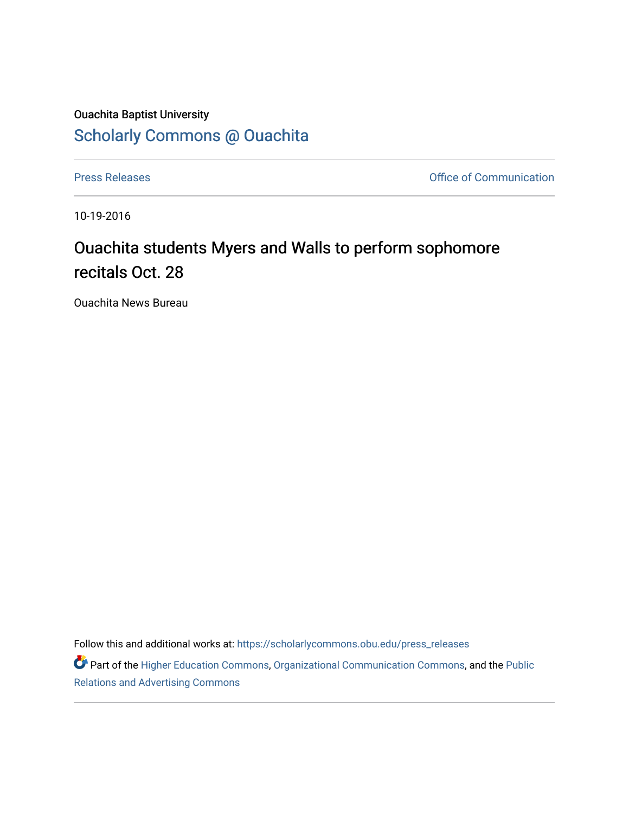## Ouachita Baptist University [Scholarly Commons @ Ouachita](https://scholarlycommons.obu.edu/)

[Press Releases](https://scholarlycommons.obu.edu/press_releases) **Press Releases Communication** 

10-19-2016

## Ouachita students Myers and Walls to perform sophomore recitals Oct. 28

Ouachita News Bureau

Follow this and additional works at: [https://scholarlycommons.obu.edu/press\\_releases](https://scholarlycommons.obu.edu/press_releases?utm_source=scholarlycommons.obu.edu%2Fpress_releases%2F824&utm_medium=PDF&utm_campaign=PDFCoverPages)

Part of the [Higher Education Commons,](http://network.bepress.com/hgg/discipline/1245?utm_source=scholarlycommons.obu.edu%2Fpress_releases%2F824&utm_medium=PDF&utm_campaign=PDFCoverPages) [Organizational Communication Commons,](http://network.bepress.com/hgg/discipline/335?utm_source=scholarlycommons.obu.edu%2Fpress_releases%2F824&utm_medium=PDF&utm_campaign=PDFCoverPages) and the [Public](http://network.bepress.com/hgg/discipline/336?utm_source=scholarlycommons.obu.edu%2Fpress_releases%2F824&utm_medium=PDF&utm_campaign=PDFCoverPages) [Relations and Advertising Commons](http://network.bepress.com/hgg/discipline/336?utm_source=scholarlycommons.obu.edu%2Fpress_releases%2F824&utm_medium=PDF&utm_campaign=PDFCoverPages)